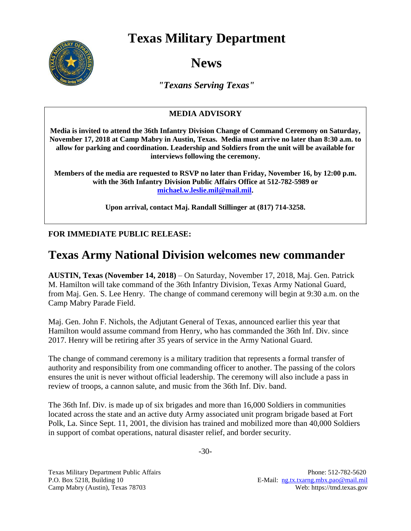## **Texas Military Department**



# **News**

*"Texans Serving Texas"*

#### **MEDIA ADVISORY**

**Media is invited to attend the 36th Infantry Division Change of Command Ceremony on Saturday, November 17, 2018 at Camp Mabry in Austin, Texas. Media must arrive no later than 8:30 a.m. to allow for parking and coordination. Leadership and Soldiers from the unit will be available for interviews following the ceremony.**

**Members of the media are requested to RSVP no later than Friday, November 16, by 12:00 p.m. with the 36th Infantry Division Public Affairs Office at 512-782-5989 or [michael.w.leslie.mil@mail.mil.](mailto:michael.w.leslie.mil@mail.mil)**

**Upon arrival, contact Maj. Randall Stillinger at (817) 714-3258.** 

#### **FOR IMMEDIATE PUBLIC RELEASE:**

### **Texas Army National Division welcomes new commander**

**AUSTIN, Texas (November 14, 2018)** – On Saturday, November 17, 2018, Maj. Gen. Patrick M. Hamilton will take command of the 36th Infantry Division, Texas Army National Guard, from Maj. Gen. S. Lee Henry. The change of command ceremony will begin at 9:30 a.m. on the Camp Mabry Parade Field.

Maj. Gen. John F. Nichols, the Adjutant General of Texas, announced earlier this year that Hamilton would assume command from Henry, who has commanded the 36th Inf. Div. since 2017. Henry will be retiring after 35 years of service in the Army National Guard.

The change of command ceremony is a military tradition that represents a formal transfer of authority and responsibility from one commanding officer to another. The passing of the colors ensures the unit is never without official leadership. The ceremony will also include a pass in review of troops, a cannon salute, and music from the 36th Inf. Div. band.

The 36th Inf. Div. is made up of six brigades and more than 16,000 Soldiers in communities located across the state and an active duty Army associated unit program brigade based at Fort Polk, La. Since Sept. 11, 2001, the division has trained and mobilized more than 40,000 Soldiers in support of combat operations, natural disaster relief, and border security.

Texas Military Department Public Affairs Phone: 512-782-5620 P.O. Box 5218, Building 10 E-Mail: [ng.tx.txarng.mbx.pao@mail.mil](mailto:ng.tx.txarng.mbx.pao@mail.mil) Camp Mabry (Austin), Texas 78703 Web: https://tmd.texas.gov